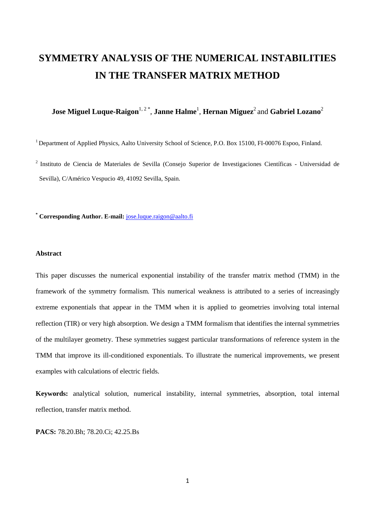# **SYMMETRY ANALYSIS OF THE NUMERICAL INSTABILITIES IN THE TRANSFER MATRIX METHOD**

# $\bold{J}$ ose Miguel Luque-Raigon $^{1,\,2\, *}$ , Janne Halme $^{1}$ , Hernan Miguez $^{2}$  and Gabriel Lozano $^{2}$

<sup>1</sup> Department of Applied Physics, Aalto University School of Science, P.O. Box 15100, FI-00076 Espoo, Finland.

<sup>2</sup>Instituto de Ciencia de Materiales de Sevilla (Consejo Superior de Investigaciones Científicas - Universidad de Sevilla), C/Américo Vespucio 49, 41092 Sevilla, Spain.

**\* Corresponding Author. E-mail:** jose.luque.raigon@aalto.fi

# **Abstract**

This paper discusses the numerical exponential instability of the transfer matrix method (TMM) in the framework of the symmetry formalism. This numerical weakness is attributed to a series of increasingly extreme exponentials that appear in the TMM when it is applied to geometries involving total internal reflection (TIR) or very high absorption. We design a TMM formalism that identifies the internal symmetries of the multilayer geometry. These symmetries suggest particular transformations of reference system in the TMM that improve its ill-conditioned exponentials. To illustrate the numerical improvements, we present examples with calculations of electric fields.

**Keywords:** analytical solution, numerical instability, internal symmetries, absorption, total internal reflection, transfer matrix method.

**PACS:** 78.20.Bh; 78.20.Ci; 42.25.Bs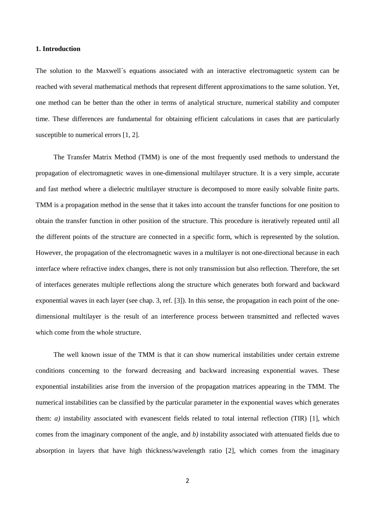## **1. Introduction**

The solution to the Maxwell´s equations associated with an interactive electromagnetic system can be reached with several mathematical methods that represent different approximations to the same solution. Yet, one method can be better than the other in terms of analytical structure, numerical stability and computer time. These differences are fundamental for obtaining efficient calculations in cases that are particularly susceptible to numerical errors [1, 2].

The Transfer Matrix Method (TMM) is one of the most frequently used methods to understand the propagation of electromagnetic waves in one-dimensional multilayer structure. It is a very simple, accurate and fast method where a dielectric multilayer structure is decomposed to more easily solvable finite parts. TMM is a propagation method in the sense that it takes into account the transfer functions for one position to obtain the transfer function in other position of the structure. This procedure is iteratively repeated until all the different points of the structure are connected in a specific form, which is represented by the solution. However, the propagation of the electromagnetic waves in a multilayer is not one-directional because in each interface where refractive index changes, there is not only transmission but also reflection. Therefore, the set of interfaces generates multiple reflections along the structure which generates both forward and backward exponential waves in each layer (see chap. 3, ref. [3]). In this sense, the propagation in each point of the onedimensional multilayer is the result of an interference process between transmitted and reflected waves which come from the whole structure.

The well known issue of the TMM is that it can show numerical instabilities under certain extreme conditions concerning to the forward decreasing and backward increasing exponential waves. These exponential instabilities arise from the inversion of the propagation matrices appearing in the TMM. The numerical instabilities can be classified by the particular parameter in the exponential waves which generates them: *a*) instability associated with evanescent fields related to total internal reflection (TIR) [1], which comes from the imaginary component of the angle, and *b)* instability associated with attenuated fields due to absorption in layers that have high thickness/wavelength ratio [2], which comes from the imaginary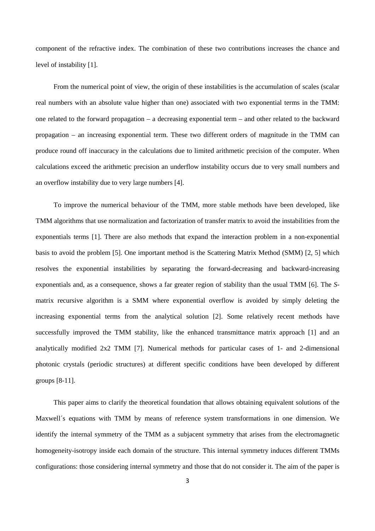component of the refractive index. The combination of these two contributions increases the chance and level of instability [1].

From the numerical point of view, the origin of these instabilities is the accumulation of scales (scalar real numbers with an absolute value higher than one) associated with two exponential terms in the TMM: one related to the forward propagation – a decreasing exponential term – and other related to the backward propagation – an increasing exponential term. These two different orders of magnitude in the TMM can produce round off inaccuracy in the calculations due to limited arithmetic precision of the computer. When calculations exceed the arithmetic precision an underflow instability occurs due to very small numbers and an overflow instability due to very large numbers [4].

To improve the numerical behaviour of the TMM, more stable methods have been developed, like TMM algorithms that use normalization and factorization of transfer matrix to avoid the instabilities from the exponentials terms [1]. There are also methods that expand the interaction problem in a non-exponential basis to avoid the problem [5]. One important method is the Scattering Matrix Method (SMM) [2, 5] which resolves the exponential instabilities by separating the forward-decreasing and backward-increasing exponentials and, as a consequence, shows a far greater region of stability than the usual TMM [6]. The *S*matrix recursive algorithm is a SMM where exponential overflow is avoided by simply deleting the increasing exponential terms from the analytical solution [2]. Some relatively recent methods have successfully improved the TMM stability, like the enhanced transmittance matrix approach [1] and an analytically modified 2x2 TMM [7]. Numerical methods for particular cases of 1- and 2-dimensional photonic crystals (periodic structures) at different specific conditions have been developed by different groups [8-11].

This paper aims to clarify the theoretical foundation that allows obtaining equivalent solutions of the Maxwell´s equations with TMM by means of reference system transformations in one dimension. We identify the internal symmetry of the TMM as a subjacent symmetry that arises from the electromagnetic homogeneity-isotropy inside each domain of the structure. This internal symmetry induces different TMMs configurations: those considering internal symmetry and those that do not consider it. The aim of the paper is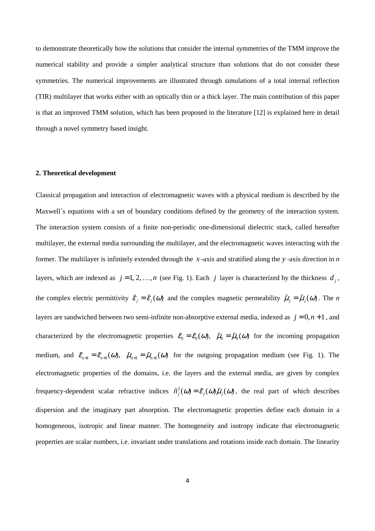to demonstrate theoretically how the solutions that consider the internal symmetries of the TMM improve the numerical stability and provide a simpler analytical structure than solutions that do not consider these symmetries. The numerical improvements are illustrated through simulations of a total internal reflection (TIR) multilayer that works either with an optically thin or a thick layer. The main contribution of this paper is that an improved TMM solution, which has been proposed in the literature [12] is explained here in detail through a novel symmetry based insight.

#### **2. Theoretical development**

Classical propagation and interaction of electromagnetic waves with a physical medium is described by the Maxwell´s equations with a set of boundary conditions defined by the geometry of the interaction system. The interaction system consists of a finite non-periodic one-dimensional dielectric stack, called hereafter multilayer, the external media surrounding the multilayer, and the electromagnetic waves interacting with the former. The multilayer is infinitely extended through the *x* -axis and stratified along the *y* -axis direction in *n* layers, which are indexed as  $j = 1, 2, ..., n$  (see Fig. 1). Each *j* layer is characterized by the thickness  $d_j$ , the complex electric permittivity  $\tilde{\mathcal{E}}_j = \tilde{\mathcal{E}}_j(\omega)$  and the complex magnetic permeability  $\tilde{\mu}_j = \tilde{\mu}_j(\omega)$ . The *n* layers are sandwiched between two semi-infinite non-absorptive external media, indexed as  $j = 0, n + 1$ , and characterized by the electromagnetic properties  $\tilde{\varepsilon}_0 = \tilde{\varepsilon}_0(\omega)$ ,  $\tilde{\mu}_0 = \tilde{\mu}_0(\omega)$  for the incoming propagation medium, and  $\tilde{\mathcal{E}}_{n+1} = \tilde{\mathcal{E}}_{n+1}(\omega)$ ,  $\tilde{\mu}_{n+1} = \tilde{\mu}_{n+1}(\omega)$  for the outgoing propagation medium (see Fig. 1). The electromagnetic properties of the domains, i.e. the layers and the external media, are given by complex frequency-dependent scalar refractive indices  $\tilde{n}_j^2(\omega) = \tilde{\mathcal{E}}_j(\omega)\tilde{\mu}_j(\omega)$ , the real part of which describes dispersion and the imaginary part absorption. The electromagnetic properties define each domain in a homogeneous, isotropic and linear manner. The homogeneity and isotropy indicate that electromagnetic properties are scalar numbers, i.e. invariant under translations and rotations inside each domain. The linearity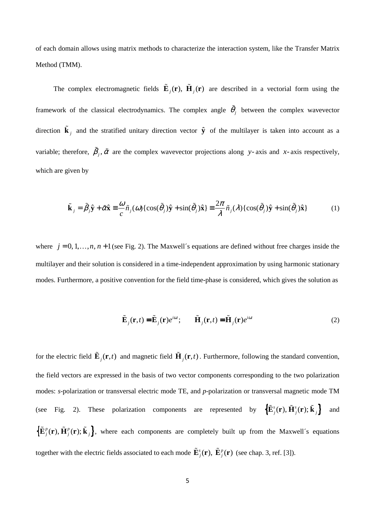of each domain allows using matrix methods to characterize the interaction system, like the Transfer Matrix Method (TMM).

The complex electromagnetic fields  $\tilde{\mathbf{E}}_j(\mathbf{r})$ ,  $\tilde{\mathbf{H}}_j(\mathbf{r})$  are described in a vectorial form using the framework of the classical electrodynamics. The complex angle  $\tilde{\theta}_j$  between the complex wavevector direction  $\tilde{\mathbf{k}}_j$  and the stratified unitary direction vector  $\hat{\mathbf{y}}$  of the multilayer is taken into account as a variable; therefore,  $\tilde{\beta}_j$ ,  $\tilde{\alpha}$  are the complex wavevector projections along *y*- axis and *x*- axis respectively, which are given by

$$
\tilde{\mathbf{k}}_{j} = \tilde{\beta}_{j}\hat{\mathbf{y}} + \tilde{\alpha}\hat{\mathbf{x}} \equiv \frac{\omega}{c}\tilde{n}_{j}(\omega)\{\cos(\tilde{\theta}_{j})\hat{\mathbf{y}} + \sin(\tilde{\theta}_{j})\hat{\mathbf{x}}\} \equiv \frac{2\pi}{\lambda}\tilde{n}_{j}(\lambda)\{\cos(\tilde{\theta}_{j})\hat{\mathbf{y}} + \sin(\tilde{\theta}_{j})\hat{\mathbf{x}}\}
$$
(1)

where  $j = 0, 1, \ldots, n, n + 1$  (see Fig. 2). The Maxwell's equations are defined without free charges inside the multilayer and their solution is considered in a time-independent approximation by using harmonic stationary modes. Furthermore, a positive convention for the field time-phase is considered, which gives the solution as

$$
\tilde{\mathbf{E}}_{j}(\mathbf{r},t) = \tilde{\mathbf{E}}_{j}(\mathbf{r})e^{i\omega t}; \qquad \tilde{\mathbf{H}}_{j}(\mathbf{r},t) = \tilde{\mathbf{H}}_{j}(\mathbf{r})e^{i\omega t}
$$
\n(2)

for the electric field  $\tilde{\mathbf{E}}_j(\mathbf{r},t)$  and magnetic field  $\tilde{\mathbf{H}}_j(\mathbf{r},t)$ . Furthermore, following the standard convention, the field vectors are expressed in the basis of two vector components corresponding to the two polarization modes: *s*-polarization or transversal electric mode TE, and *p*-polarization or transversal magnetic mode TM (see Fig. 2). These polarization components are represented by  $\{\tilde{\mathbf{E}}_j^s(\mathbf{r}), \tilde{\mathbf{H}}_j^s(\mathbf{r}); \tilde{\mathbf{k}}_j\}$  and  $\{\tilde{\mathbf{E}}_j^p(\mathbf{r}), \tilde{\mathbf{H}}_j^p(\mathbf{r}); \tilde{\mathbf{k}}_j\}$ , where each components are completely built up from the Maxwell's equations together with the electric fields associated to each mode  $\tilde{\mathbf{E}}_j^s(\mathbf{r})$ ,  $\tilde{\mathbf{E}}_j^p(\mathbf{r})$  (see chap. 3, ref. [3]).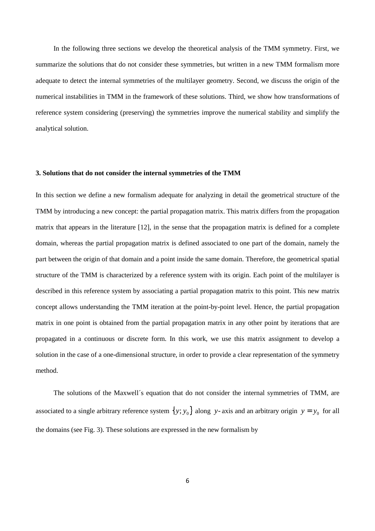In the following three sections we develop the theoretical analysis of the TMM symmetry. First, we summarize the solutions that do not consider these symmetries, but written in a new TMM formalism more adequate to detect the internal symmetries of the multilayer geometry. Second, we discuss the origin of the numerical instabilities in TMM in the framework of these solutions. Third, we show how transformations of reference system considering (preserving) the symmetries improve the numerical stability and simplify the analytical solution.

#### **3. Solutions that do not consider the internal symmetries of the TMM**

In this section we define a new formalism adequate for analyzing in detail the geometrical structure of the TMM by introducing a new concept: the partial propagation matrix. This matrix differs from the propagation matrix that appears in the literature [12], in the sense that the propagation matrix is defined for a complete domain, whereas the partial propagation matrix is defined associated to one part of the domain, namely the part between the origin of that domain and a point inside the same domain. Therefore, the geometrical spatial structure of the TMM is characterized by a reference system with its origin. Each point of the multilayer is described in this reference system by associating a partial propagation matrix to this point. This new matrix concept allows understanding the TMM iteration at the point-by-point level. Hence, the partial propagation matrix in one point is obtained from the partial propagation matrix in any other point by iterations that are propagated in a continuous or discrete form. In this work, we use this matrix assignment to develop a solution in the case of a one-dimensional structure, in order to provide a clear representation of the symmetry method.

The solutions of the Maxwell´s equation that do not consider the internal symmetries of TMM, are associated to a single arbitrary reference system  $\{y; y_0\}$  along y-axis and an arbitrary origin  $y = y_0$  for all the domains (see Fig. 3). These solutions are expressed in the new formalism by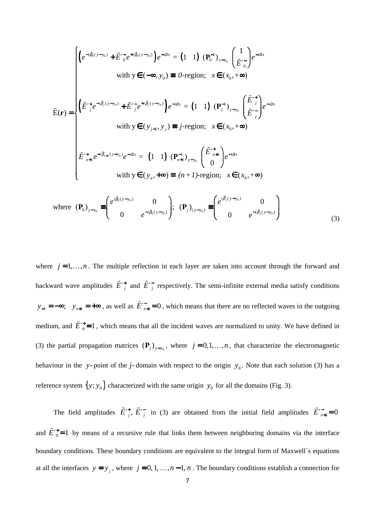( ) ( ) ( ) ( ) 0 0 0 0 0 0 0 0 ( ) ( ) 1 0 0 0 0 0 ( ) ( ) 1 1 ´ = 1 1 ( ) ´ with y ( , ) -region; ( ,+ ) ´ ´ = 1 1 ( ) E( ) *j j i y y i y y i x i x y y i y y i y y i x j j j y y e E e e e E y 0 x x E e E e e* β β <sup>α</sup> <sup>α</sup> β β <sup>α</sup> **P P r** % % %% % % %% % % % % % − − + − − − − − − − + − − − − − + − − <sup>+</sup> ∈ −∞ ≡ ∈ ∞ + = ( ) 1 0 0 1 0 ( ) 1 1 1 1 ´ ´ with y ( , ) -region; ( ,+ ) ´ ´ = 1 1 ( ) 0 *n j i x j j j i y y i x n i x n n y y E e E y y j x x E E e e e* α <sup>β</sup> <sup>α</sup> <sup>α</sup> **P** %% % % % % % <sup>+</sup> + − − − + + − − − − − + + + − ∈ ≡ ∈ ∞ 0 0 0 0 ( ) ( ) with y ( , ) -region; ( ,+ ) *j n i y y i y y y (n +1) x x* β β % % − − ∈ +∞ ≡ ∈ ∞ 

where 
$$
(\mathbf{P}_0)_{y=y_0} \equiv \begin{pmatrix} e^{i\vec{\beta}_0(y-y_0)} & 0 \\ 0 & e^{-i\vec{\beta}_0(y-y_0)} \end{pmatrix}
$$
;  $(\mathbf{P}_j)_{(y-y_0)} \equiv \begin{pmatrix} e^{i\beta_j(y-y_0)} & 0 \\ 0 & e^{-i\vec{\beta}_j(y-y_0)} \end{pmatrix}$  (3)

where  $j = 1, \ldots, n$ . The multiple reflection in each layer are taken into account through the forward and backward wave amplitudes  $\tilde{E}^{\prime\dagger}_{j}$  and  $\tilde{E}^{\prime\dagger}_{j}$  respectively. The semi-infinite external media satisfy conditions  $y_{-1} = -\infty$ ;  $y_{n+1} = +\infty$ , as well as  $\tilde{E}_{n+1}^{-} = 0$ , which means that there are no reflected waves in the outgoing medium, and  $\tilde{E}_{0}^{A} = 1$ , which means that all the incident waves are normalized to unity. We have defined in (3) the partial propagation matrices  $(\mathbf{P}_j)_{y=y_0}$ , where  $j=0,1,\ldots,n$ , that characterize the electromagnetic behaviour in the y-point of the *j*-domain with respect to the origin  $y_0$ . Note that each solution (3) has a reference system  $\{y; y_0\}$  characterized with the same origin  $y_0$  for all the domains (Fig. 3).

The field amplitudes  $\tilde{E}'^{\dagger}_{j}$ ,  $\tilde{E}'^{-}_{j}$  in (3) are obtained from the initial field amplitudes  $\tilde{E}'^{-}_{n+1} = 0$ and  $E_{0}^{+}=1$  by means of a recursive rule that links them between neighboring domains via the interface boundary conditions. These boundary conditions are equivalent to the integral form of Maxwell´s equations at all the interfaces  $y = y_j$ , where  $j = 0, 1, ..., n-1, n$ . The boundary conditions establish a connection for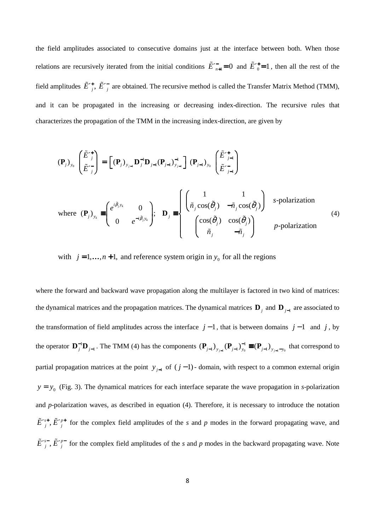the field amplitudes associated to consecutive domains just at the interface between both. When those relations are recursively iterated from the initial conditions  $E_{n+1}^{\prime}=0$  and  $E_{0}^{\prime}=1$ , then all the rest of the field amplitudes  $E^*$ ,  $E^-$  *i* are obtained. The recursive method is called the Transfer Matrix Method (TMM), and it can be propagated in the increasing or decreasing index-direction. The recursive rules that characterizes the propagation of the TMM in the increasing index-direction, are given by

$$
\left(\mathbf{P}_{j}\right)_{y_{0}}\begin{pmatrix}\tilde{E}^{+}\\j\\ \tilde{E}^{-}\\j\end{pmatrix}=\begin{bmatrix}\left(\mathbf{P}_{j}\right)_{y_{j-1}}\mathbf{D}_{j}^{-1}\mathbf{D}_{j-1}\left(\mathbf{P}_{j-1}\right)_{y_{j-1}}^{-1}\end{bmatrix}\left(\mathbf{P}_{j-1}\right)_{y_{0}}\begin{pmatrix}\tilde{E}^{+}\\j\\ \tilde{E}^{-}\\j\end{pmatrix}
$$
\nwhere\n
$$
\left(\mathbf{P}_{j}\right)_{y_{k}}\equiv\begin{pmatrix}e^{i\tilde{\beta}_{j}y_{k}}&0\\0&e^{-i\tilde{\beta}_{j}y_{k}}\end{pmatrix};\n\mathbf{D}_{j} \equiv\begin{cases}\n\begin{pmatrix}\n1&1\\ \tilde{n}_{j}\cos(\tilde{\theta}_{j}) & -\tilde{n}_{j}\cos(\tilde{\theta}_{j})\n\end{pmatrix} & s-\text{polarization} \\
\begin{pmatrix}\cos(\tilde{\theta}_{j}) & \cos(\tilde{\theta}_{j})\\ \tilde{n}_{j} & -\tilde{n}_{j}\end{pmatrix} & p-\text{polarization}\n\end{cases}
$$
\n(4)

with  $j = 1, ..., n + 1$ , and reference system origin in  $y_0$  for all the regions

where the forward and backward wave propagation along the multilayer is factored in two kind of matrices: the dynamical matrices and the propagation matrices. The dynamical matrices  $\mathbf{D}_j$  and  $\mathbf{D}_{j-1}$  are associated to the transformation of field amplitudes across the interface  $j-1$ , that is between domains  $j-1$  and  $j$ , by the operator  $\mathbf{D}_j^{-1} \mathbf{D}_{j-1}$ <sub>−1</sub>. The TMM (4) has the components  $(\mathbf{P}_{j-1})_{y_{j-1}} (\mathbf{P}_{j-1})_{y_0}^{-1} \equiv (\mathbf{P}_{j-1})_{y_{j-1} - y_0}$  $(\mathbf{P}_{j-1})_{y_{j-1}} (\mathbf{P}_{j-1})_{y_0}^{-1} \equiv (\mathbf{P}_{j-1})_{y_{j-1} - y_0}$  that correspond to partial propagation matrices at the point  $y_{j-1}$  of  $(j-1)$ -domain, with respect to a common external origin  $y = y_0$  (Fig. 3). The dynamical matrices for each interface separate the wave propagation in *s*-polarization and *p*-polarization waves, as described in equation (4). Therefore, it is necessary to introduce the notation  $\tilde{E}'^{s+}, \tilde{E}'^{p+}$  for the complex field amplitudes of the *s* and *p* modes in the forward propagating wave, and  $\tilde{E}'^{\tilde{s}^-}$ ,  $\tilde{E}'^{\tilde{p}^-}$  for the complex field amplitudes of the *s* and *p* modes in the backward propagating wave. Note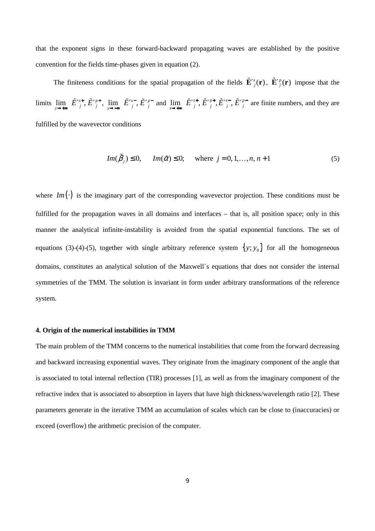that the exponent signs in these forward-backward propagating waves are established by the positive convention for the fields time-phases given in equation (2).

The finiteness conditions for the spatial propagation of the fields  $\tilde{\mathbf{E}}_{j}^{s}(\mathbf{r})$ ,  $\tilde{\mathbf{E}}_{j}^{s}(\mathbf{r})$  impose that the limits  $\lim_{y \to +\infty} \tilde{E}'^{s+}_j, \tilde{E}'^{p+}_j$  $\lim_{j \to \infty} \tilde{E}'_{j}^{s+}, \tilde{E}'_{j}^{p+}, \lim_{y \to \infty} \tilde{E}'_{j}^{s-}, \tilde{E}'_{j}^{p-}$  $\lim_{\epsilon \to \infty} \tilde{E}'_{j}^{\epsilon}$ ,  $\tilde{E}'_{j}^{p-}$  and  $\lim_{x \to \infty} \tilde{E}'_{j}^{\epsilon+}$ ,  $\tilde{E}'_{j}^{p+}$ ,  $\tilde{E}'_{j}^{\epsilon-}$ ,  $\tilde{E}'_{j}^{p-}$  $\lim_{j \to \infty} E^{s+j}_{j}, E^{s+j}_{j}, E^{s-j}_{j}, E'^{p-j}_{j}$  are finite numbers, and they are fulfilled by the wavevector conditions

$$
Im(\tilde{\beta}_j) \le 0
$$
,  $Im(\tilde{\alpha}) \le 0$ ; where  $j = 0, 1, ..., n, n+1$  (5)

where  $Im(\cdot)$  is the imaginary part of the corresponding wavevector projection. These conditions must be fulfilled for the propagation waves in all domains and interfaces – that is, all position space; only in this manner the analytical infinite-instability is avoided from the spatial exponential functions. The set of equations (3)-(4)-(5), together with single arbitrary reference system  $\{y; y_0\}$  for all the homogeneous domains, constitutes an analytical solution of the Maxwell´s equations that does not consider the internal symmetries of the TMM. The solution is invariant in form under arbitrary transformations of the reference system.

#### **4. Origin of the numerical instabilities in TMM**

The main problem of the TMM concerns to the numerical instabilities that come from the forward decreasing and backward increasing exponential waves. They originate from the imaginary component of the angle that is associated to total internal reflection (TIR) processes [1], as well as from the imaginary component of the refractive index that is associated to absorption in layers that have high thickness/wavelength ratio [2]. These parameters generate in the iterative TMM an accumulation of scales which can be close to (inaccuracies) or exceed (overflow) the arithmetic precision of the computer.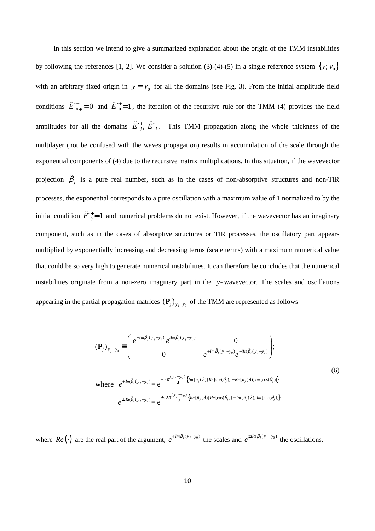In this section we intend to give a summarized explanation about the origin of the TMM instabilities by following the references [1, 2]. We consider a solution (3)-(4)-(5) in a single reference system  $\{y; y_0\}$ with an arbitrary fixed origin in  $y = y_0$  for all the domains (see Fig. 3). From the initial amplitude field conditions  $\tilde{E}_{n+1}^{\prime}=0$  and  $\tilde{E}_{0}^{\prime}=1$ , the iteration of the recursive rule for the TMM (4) provides the field amplitudes for all the domains  $\tilde{E}^{'}$ ;  $\tilde{E}^{'}$ ,  $\tilde{E}^{'}$ . This TMM propagation along the whole thickness of the multilayer (not be confused with the waves propagation) results in accumulation of the scale through the exponential components of (4) due to the recursive matrix multiplications. In this situation, if the wavevector projection  $\tilde{\beta}_j$  is a pure real number, such as in the cases of non-absorptive structures and non-TIR processes, the exponential corresponds to a pure oscillation with a maximum value of 1 normalized to by the initial condition  $\tilde{E}_{0}^{+}=1$  and numerical problems do not exist. However, if the wavevector has an imaginary component, such as in the cases of absorptive structures or TIR processes, the oscillatory part appears multiplied by exponentially increasing and decreasing terms (scale terms) with a maximum numerical value that could be so very high to generate numerical instabilities. It can therefore be concludes that the numerical instabilities originate from a non-zero imaginary part in the *y*- wavevector. The scales and oscillations appearing in the partial propagation matrices  $(\mathbf{P}_j)_{y_j = y_0}$  of the TMM are represented as follows

$$
\begin{aligned}\n(\mathbf{P}_{j})_{y_{j}-y_{0}} & \equiv \begin{pmatrix} e^{-Im\tilde{\beta}_{j}(y_{j}-y_{0})} e^{iRe\tilde{\beta}_{j}(y_{j}-y_{0})} & 0\\ 0 & e^{+Im\tilde{\beta}_{j}(y_{j}-y_{0})} e^{-iRe\tilde{\beta}_{j}(y_{j}-y_{0})} \end{pmatrix}; \\
\text{where } e^{\mp Im\tilde{\beta}_{j}(y_{j}-y_{0})} & = e^{\mp 2\pi \frac{(y_{j}-y_{0})}{\lambda} \{Im[\tilde{n}_{j}(\lambda)]Re[\cos(\tilde{\theta}_{j})] + Re[\tilde{n}_{j}(\lambda)]Im[\cos(\tilde{\theta}_{j})] \}} \\
e^{\pm iRe\tilde{\beta}_{j}(y_{j}-y_{0})} & = e^{\pm i2\pi \frac{(y_{j}-y_{0})}{\lambda} \{Re[\tilde{n}_{j}(\lambda)]Re[\cos(\tilde{\theta}_{j})] - Im[\tilde{n}_{j}(\lambda)]Im[\cos(\tilde{\theta}_{j})] \}}\n\end{aligned}
$$
\n(6)

where  $Re(\cdot)$  are the real part of the argument,  $e^{\mp Im\tilde{\beta}_j(y_j-y_0)}$  the scales and  $e^{\pm iRe\tilde{\beta}_j(y_j-y_0)}$  the oscillations.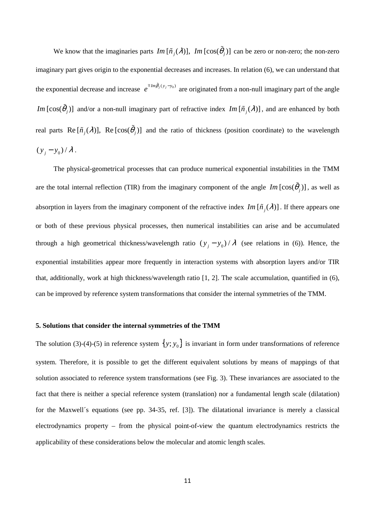We know that the imaginaries parts  $Im [\tilde{n}_j(\lambda)], Im [\cos(\tilde{\theta}_j)]$  can be zero or non-zero; the non-zero imaginary part gives origin to the exponential decreases and increases. In relation (6), we can understand that the exponential decrease and increase  $e^{\mp Im\tilde{\beta}_j(y_j-y_0)}$  are originated from a non-null imaginary part of the angle *Im* [ $cos(\tilde{\theta}_j)$ ] and/or a non-null imaginary part of refractive index *Im* [ $\tilde{n}_j(\lambda)$ ], and are enhanced by both real parts  $\text{Re} [\tilde{n}_j(\lambda)]$ ,  $\text{Re} [\cos(\tilde{\theta}_j)]$  and the ratio of thickness (position coordinate) to the wavelength  $(y_j - y_0) / \lambda$ .

The physical-geometrical processes that can produce numerical exponential instabilities in the TMM are the total internal reflection (TIR) from the imaginary component of the angle  $Im$  [cos( $\tilde{\theta}_j$ )], as well as absorption in layers from the imaginary component of the refractive index  $Im [\tilde{n}_j(\lambda)]$ . If there appears one or both of these previous physical processes, then numerical instabilities can arise and be accumulated through a high geometrical thickness/wavelength ratio  $(y_j - y_0) / \lambda$  (see relations in (6)). Hence, the exponential instabilities appear more frequently in interaction systems with absorption layers and/or TIR that, additionally, work at high thickness/wavelength ratio [1, 2]. The scale accumulation, quantified in (6), can be improved by reference system transformations that consider the internal symmetries of the TMM.

#### **5. Solutions that consider the internal symmetries of the TMM**

The solution (3)-(4)-(5) in reference system  $\{y; y_0\}$  is invariant in form under transformations of reference system. Therefore, it is possible to get the different equivalent solutions by means of mappings of that solution associated to reference system transformations (see Fig. 3). These invariances are associated to the fact that there is neither a special reference system (translation) nor a fundamental length scale (dilatation) for the Maxwell´s equations (see pp. 34-35, ref. [3]). The dilatational invariance is merely a classical electrodynamics property – from the physical point-of-view the quantum electrodynamics restricts the applicability of these considerations below the molecular and atomic length scales.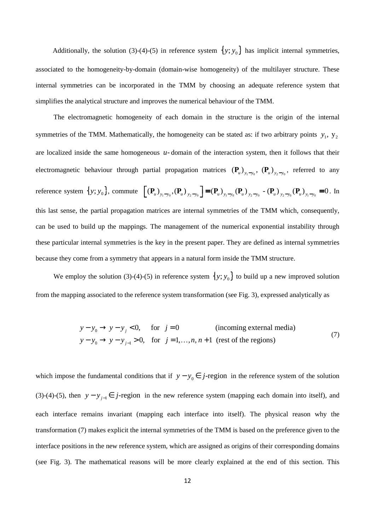Additionally, the solution (3)-(4)-(5) in reference system  $\{y; y_0\}$  has implicit internal symmetries, associated to the homogeneity-by-domain (domain-wise homogeneity) of the multilayer structure. These internal symmetries can be incorporated in the TMM by choosing an adequate reference system that simplifies the analytical structure and improves the numerical behaviour of the TMM.

The electromagnetic homogeneity of each domain in the structure is the origin of the internal symmetries of the TMM. Mathematically, the homogeneity can be stated as: if two arbitrary points  $y_1$ ,  $y_2$ are localized inside the same homogeneous *u*- domain of the interaction system, then it follows that their electromagnetic behaviour through partial propagation matrices  $(\mathbf{P}_u)_{y_1-y_0}$ ,  $(\mathbf{P}_u)_{y_2-y_0}$ , referred to any reference system  $\{y; y_0\}$ , commute  $[(\mathbf{P}_u)_{y_1-y_0}, (\mathbf{P}_u)_{y_2-y_0}] = (\mathbf{P}_u)_{y_1-y_0} (\mathbf{P}_u)_{y_2-y_0} - (\mathbf{P}_u)_{y_2-y_0} (\mathbf{P}_u)_{y_1-y_0} = 0$ . In this last sense, the partial propagation matrices are internal symmetries of the TMM which, consequently, can be used to build up the mappings. The management of the numerical exponential instability through these particular internal symmetries is the key in the present paper. They are defined as internal symmetries because they come from a symmetry that appears in a natural form inside the TMM structure.

We employ the solution (3)-(4)-(5) in reference system  $\{y; y_0\}$  to build up a new improved solution from the mapping associated to the reference system transformation (see Fig. 3), expressed analytically as

$$
y - y_0 \to y - y_j < 0, \quad \text{for} \quad j = 0 \quad \text{(incoming external media)}
$$
  
\n
$$
y - y_0 \to y - y_{j-1} > 0, \quad \text{for} \quad j = 1, ..., n, n+1 \quad \text{(rest of the regions)}
$$
 (7)

which impose the fundamental conditions that if  $y - y_0 \in j$ -region in the reference system of the solution (3)-(4)-(5), then  $y - y_{j-1} \in j$ -region in the new reference system (mapping each domain into itself), and each interface remains invariant (mapping each interface into itself). The physical reason why the transformation (7) makes explicit the internal symmetries of the TMM is based on the preference given to the interface positions in the new reference system, which are assigned as origins of their corresponding domains (see Fig. 3). The mathematical reasons will be more clearly explained at the end of this section. This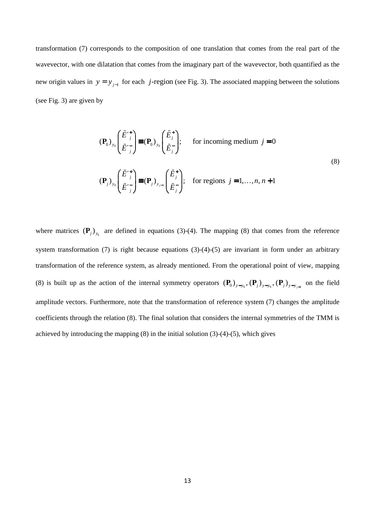transformation (7) corresponds to the composition of one translation that comes from the real part of the wavevector, with one dilatation that comes from the imaginary part of the wavevector, both quantified as the new origin values in  $y = y_{j-1}$  for each *j*-region (see Fig. 3). The associated mapping between the solutions (see Fig. 3) are given by

$$
\begin{aligned}\n(\mathbf{P}_0)_{y_0} \begin{pmatrix} \tilde{E}_{j}^{+} \\ \tilde{E}_{j}^{-} \end{pmatrix} &= (\mathbf{P}_0)_{y_0} \begin{pmatrix} \tilde{E}_{j}^{+} \\ \tilde{E}_{j}^{-} \end{pmatrix}; \qquad \text{for incoming medium } j = 0 \\
(\mathbf{P}_j)_{y_0} \begin{pmatrix} \tilde{E}_{j}^{+} \\ \tilde{E}_{j}^{-} \end{pmatrix} &= (\mathbf{P}_j)_{y_{j-1}} \begin{pmatrix} \tilde{E}_{j}^{+} \\ \tilde{E}_{j}^{-} \end{pmatrix}; \qquad \text{for regions } j = 1, \dots, n, n+1\n\end{aligned}\n\tag{8}
$$

where matrices  $(P_j)_{y_k}$  are defined in equations (3)-(4). The mapping (8) that comes from the reference system transformation (7) is right because equations (3)-(4)-(5) are invariant in form under an arbitrary transformation of the reference system, as already mentioned. From the operational point of view, mapping (8) is built up as the action of the internal symmetry operators  $(\mathbf{P}_0)_{y=y_0}$ ,  $(\mathbf{P}_j)_{y=y_0}$ ,  $(\mathbf{P}_j)_{y=y_{j-1}}$  on the field amplitude vectors. Furthermore, note that the transformation of reference system (7) changes the amplitude coefficients through the relation (8). The final solution that considers the internal symmetries of the TMM is achieved by introducing the mapping  $(8)$  in the initial solution  $(3)-(4)-(5)$ , which gives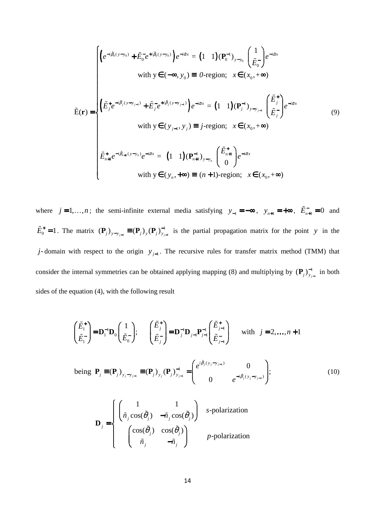$$
\tilde{E}(\mathbf{r}) = \begin{cases}\n\left(e^{-i\tilde{\beta}_0(y-y_0)} + \tilde{E}_0^- e^{+i\tilde{\beta}_0(y-y_0)}\right) e^{-i\tilde{\alpha}x} = \left(1 \quad 1\right) \left(\mathbf{P}_0^{-1}\right)_{y-y_0} \begin{pmatrix} 1 \\ \tilde{E}_0^{-}\end{pmatrix} e^{-i\tilde{\alpha}x} \\
\text{with } y \in (-\infty, y_0) \equiv 0\text{-region}; \quad x \in (x_0, +\infty)\n\end{cases}
$$
\n
$$
\tilde{E}(\mathbf{r}) = \begin{cases}\n\tilde{E}_j^+ e^{-i\tilde{\beta}_j(y-y_{j-1})} + \tilde{E}_j^- e^{+i\tilde{\beta}_j(y-y_{j-1})}\right) e^{-i\tilde{\alpha}x} = \left(1 \quad 1\right) \left(\mathbf{P}_j^{-1}\right)_{y-y_{j-1}} \begin{pmatrix} \tilde{E}_j^+ \\ \tilde{E}_j^- \end{pmatrix} e^{-i\tilde{\alpha}x} \\
\text{with } y \in (y_{j-1}, y_j) \equiv j\text{-region}; \quad x \in (x_0, +\infty)\n\end{cases}
$$
\n
$$
\tilde{E}_{n+1}^+ e^{-i\tilde{\beta}_{n+1}(y-y_n)} e^{-i\tilde{\alpha}x} = \left(1 \quad 1\right) \left(\mathbf{P}_{n+1}^{-1}\right)_{y-y_n} \begin{pmatrix} \tilde{E}_{n+1}^+ \\ 0 \end{pmatrix} e^{-i\tilde{\alpha}x} \\
\text{with } y \in (y_n, +\infty) \equiv (n+1)\text{-region}; \quad x \in (x_0, +\infty)
$$

where  $j = 1, ..., n$ ; the semi-infinite external media satisfying  $y_{-1} = -\infty$ ,  $y_{n+1} = +\infty$ ,  $\tilde{E}_{n+1}^- = 0$  and  $\tilde{E}_0^+ = 1$ . The matrix  $(\mathbf{P}_j)_{y-y_{j-1}} \equiv (\mathbf{P}_j)_{y} (\mathbf{P}_j)_{y_{j-1}}^{-1}$  $(\mathbf{P}_j)_{j \to j} \equiv (\mathbf{P}_j)_{j} (\mathbf{P}_j)_{j \to j}^{-1}$  is the partial propagation matrix for the point *y* in the *j*-domain with respect to the origin  $y_{j-1}$ . The recursive rules for transfer matrix method (TMM) that consider the internal symmetries can be obtained applying mapping (8) and multiplying by  $(\mathbf{P}_j)_{j=1}^{-1}$  $(\mathbf{P}_j)_{\mathbf{y}_{j-1}}^{-1}$  in both sides of the equation (4), with the following result

$$
\begin{pmatrix} \tilde{E}_{1}^{+} \\ \tilde{E}_{1}^{-} \end{pmatrix} = \mathbf{D}_{1}^{-1} \mathbf{D}_{0} \begin{pmatrix} 1 \\ \tilde{E}_{0}^{-} \end{pmatrix}; \qquad \begin{pmatrix} \tilde{E}_{j}^{+} \\ \tilde{E}_{j}^{-} \end{pmatrix} = \mathbf{D}_{j}^{-1} \mathbf{D}_{j-1} \mathbf{P}_{j-1}^{-1} \begin{pmatrix} \tilde{E}_{j-1}^{+} \\ \tilde{E}_{j-1}^{-} \end{pmatrix} \qquad \text{with} \quad j = 2, ..., n+1
$$
\n
$$
\text{being } \mathbf{P}_{j} \equiv (\mathbf{P}_{j})_{y_{j}-y_{j-1}} \equiv (\mathbf{P}_{j})_{y_{j}} (\mathbf{P}_{j})_{y_{j-1}}^{-1} = \begin{pmatrix} e^{i\tilde{\beta}_{j}(y_{j}-y_{j-1})} & 0 \\ 0 & e^{-i\tilde{\beta}_{j}(y_{j}-y_{j-1})} \end{pmatrix}; \tag{10}
$$

$$
\mathbf{D}_{j} = \begin{cases} \begin{pmatrix} 1 & 1 \\ \tilde{n}_{j} \cos(\tilde{\theta}_{j}) & -\tilde{n}_{j} \cos(\tilde{\theta}_{j}) \end{pmatrix} & s-\text{polarization} \\ \begin{pmatrix} \cos(\tilde{\theta}_{j}) & \cos(\tilde{\theta}_{j}) \\ \tilde{n}_{j} & -\tilde{n}_{j} \end{pmatrix} & p-\text{polarization} \end{cases}
$$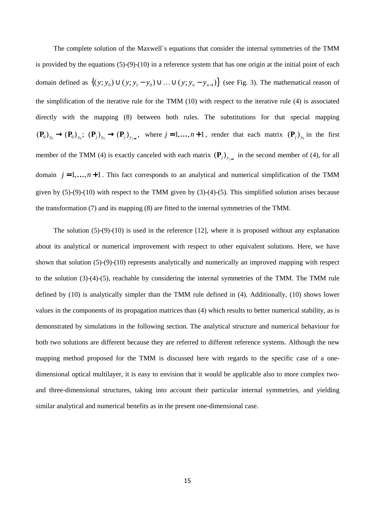The complete solution of the Maxwell´s equations that consider the internal symmetries of the TMM is provided by the equations (5)-(9)-(10) in a reference system that has one origin at the initial point of each domain defined as  $\{(y; y_0) \cup (y; y_1 - y_0) \cup ... \cup (y; y_n - y_{n-1})\}$  (see Fig. 3). The mathematical reason of the simplification of the iterative rule for the TMM (10) with respect to the iterative rule (4) is associated directly with the mapping (8) between both rules. The substitutions for that special mapping  $(\mathbf{P}_0)_{y_0} \to (\mathbf{P}_0)_{y_0}$ ;  $(\mathbf{P}_j)_{y_0} \to (\mathbf{P}_j)_{y_{j-1}}$ , where  $j = 1, ..., n+1$ , render that each matrix  $(\mathbf{P}_j)_{y_0}$  in the first member of the TMM (4) is exactly canceled with each matrix  $(P_j)_{y_{j-1}}$  in the second member of (4), for all domain  $j = 1, \ldots, n+1$ . This fact corresponds to an analytical and numerical simplification of the TMM given by (5)-(9)-(10) with respect to the TMM given by (3)-(4)-(5). This simplified solution arises because the transformation (7) and its mapping (8) are fitted to the internal symmetries of the TMM.

The solution  $(5)-(9)-(10)$  is used in the reference [12], where it is proposed without any explanation about its analytical or numerical improvement with respect to other equivalent solutions. Here, we have shown that solution (5)-(9)-(10) represents analytically and numerically an improved mapping with respect to the solution (3)-(4)-(5), reachable by considering the internal symmetries of the TMM. The TMM rule defined by (10) is analytically simpler than the TMM rule defined in (4). Additionally, (10) shows lower values in the components of its propagation matrices than (4) which results to better numerical stability, as is demonstrated by simulations in the following section. The analytical structure and numerical behaviour for both two solutions are different because they are referred to different reference systems. Although the new mapping method proposed for the TMM is discussed here with regards to the specific case of a onedimensional optical multilayer, it is easy to envision that it would be applicable also to more complex twoand three-dimensional structures, taking into account their particular internal symmetries, and yielding similar analytical and numerical benefits as in the present one-dimensional case.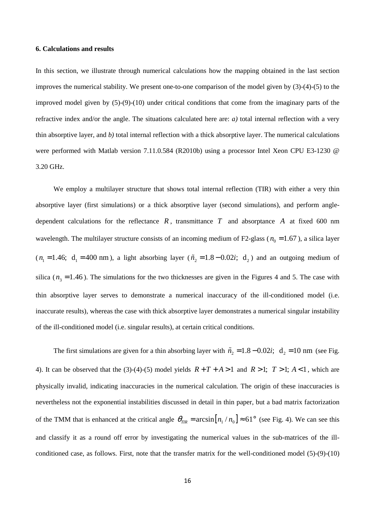#### **6. Calculations and results**

In this section, we illustrate through numerical calculations how the mapping obtained in the last section improves the numerical stability. We present one-to-one comparison of the model given by (3)-(4)-(5) to the improved model given by (5)-(9)-(10) under critical conditions that come from the imaginary parts of the refractive index and/or the angle. The situations calculated here are: *a)* total internal reflection with a very thin absorptive layer, and *b)* total internal reflection with a thick absorptive layer. The numerical calculations were performed with Matlab version 7.11.0.584 (R2010b) using a processor Intel Xeon CPU E3-1230 @ 3.20 GHz.

We employ a multilayer structure that shows total internal reflection (TIR) with either a very thin absorptive layer (first simulations) or a thick absorptive layer (second simulations), and perform angledependent calculations for the reflectance  $R$ , transmittance  $T$  and absorptance  $A$  at fixed 600 nm wavelength. The multilayer structure consists of an incoming medium of F2-glass ( $n_0 = 1.67$ ), a silica layer  $(n_1 = 1.46; d_1 = 400 \text{ nm})$ , a light absorbing layer  $(\tilde{n}_2 = 1.8 - 0.02i; d_2)$  and an outgoing medium of silica ( $n_3 = 1.46$ ). The simulations for the two thicknesses are given in the Figures 4 and 5. The case with thin absorptive layer serves to demonstrate a numerical inaccuracy of the ill-conditioned model (i.e. inaccurate results), whereas the case with thick absorptive layer demonstrates a numerical singular instability of the ill-conditioned model (i.e. singular results), at certain critical conditions.

The first simulations are given for a thin absorbing layer with  $\tilde{n}_2 = 1.8 - 0.02i$ ; d<sub>2</sub> = 10 nm (see Fig. 4). It can be observed that the (3)-(4)-(5) model yields  $R+T+A>1$  and  $R>1$ ;  $T>1$ ;  $A<1$ , which are physically invalid, indicating inaccuracies in the numerical calculation. The origin of these inaccuracies is nevertheless not the exponential instabilities discussed in detail in thin paper, but a bad matrix factorization of the TMM that is enhanced at the critical angle  $\theta_{\text{TIR}} = \arcsin[n_1/n_0] \approx 61^\circ$  (see Fig. 4). We can see this and classify it as a round off error by investigating the numerical values in the sub-matrices of the illconditioned case, as follows. First, note that the transfer matrix for the well-conditioned model (5)-(9)-(10)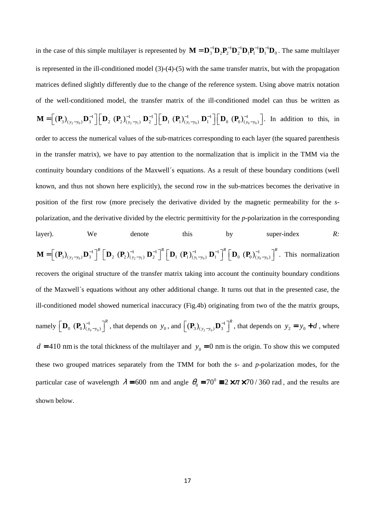in the case of this simple multilayer is represented by  $\mathbf{M} = \mathbf{D}_3^{-1} \mathbf{D}_2 \mathbf{P}_2^{-1} \mathbf{D}_1^{-1} \mathbf{D}_1^{-1} \mathbf{D}_1^{-1} \mathbf{D}_0$ . The same multilayer is represented in the ill-conditioned model (3)-(4)-(5) with the same transfer matrix, but with the propagation matrices defined slightly differently due to the change of the reference system. Using above matrix notation of the well-conditioned model, the transfer matrix of the ill-conditioned model can thus be written as  $2^{\frac{1}{2}}$   $\begin{bmatrix} 0 & 0 & 0 \\ 0 & 0 & 0 \end{bmatrix}$   $\begin{bmatrix} 2 & 0 & 0 \\ 0 & 0 & 0 \end{bmatrix}$   $\begin{bmatrix} 2 & 0 & 0 \\ 0 & 0 & 0 \end{bmatrix}$   $\begin{bmatrix} 2 & 0 & 0 \\ 0 & 0 & 0 \end{bmatrix}$  $(\mathbf{P}_3)_{(y_2-y_0)} \mathbf{D}_3^{-1} \left| \left| \mathbf{D}_2 \right. (\mathbf{P}_2)_{(y_2-y_1)}^{-1} \mathbf{D}_2^{-1} \right| \left| \mathbf{D}_1 \right. (\mathbf{P}_1)_{(y_1-y_0)}^{-1} \mathbf{D}_1^{-1} \left| \left| \mathbf{D}_0 \right. (\mathbf{P}_0)_{(y_0-y_0)}^{-1} \right|$  $\mathbf{M} = \left[ (\mathbf{P}_3)_{(y_2-y_0)} \mathbf{D}_3^{-1} \right] \left[ \mathbf{D}_2 (\mathbf{P}_2)_{(y_2-y_1)}^{-1} \mathbf{D}_2^{-1} \right] \left[ \mathbf{D}_1 (\mathbf{P}_1)_{(y_1-y_0)}^{-1} \mathbf{D}_1^{-1} \right] \left[ \mathbf{D}_0 (\mathbf{P}_0)_{(y_0-y_0)}^{-1} \right]$ . In addition to this, in order to access the numerical values of the sub-matrices corresponding to each layer (the squared parenthesis in the transfer matrix), we have to pay attention to the normalization that is implicit in the TMM via the continuity boundary conditions of the Maxwell´s equations. As a result of these boundary conditions (well known, and thus not shown here explicitly), the second row in the sub-matrices becomes the derivative in position of the first row (more precisely the derivative divided by the magnetic permeability for the *s*polarization, and the derivative divided by the electric permittivity for the *p*-polarization in the corresponding layer). We denote this by super-index *R:*  $2^{\frac{1}{2}}$   $\begin{bmatrix} 2 \\ 0 \end{bmatrix}$   $\begin{bmatrix} 2 \\ 0 \end{bmatrix}$   $\begin{bmatrix} 2 \\ 0 \end{bmatrix}$   $\begin{bmatrix} 2 \\ 0 \end{bmatrix}$   $\begin{bmatrix} 2 \\ 0 \end{bmatrix}$   $\begin{bmatrix} 2 \\ 0 \end{bmatrix}$   $\begin{bmatrix} 2 \\ 0 \end{bmatrix}$   $\begin{bmatrix} 2 \\ 0 \end{bmatrix}$   $\begin{bmatrix} 2 \\ 0 \end{bmatrix}$   $\begin{bmatrix} 2 \\ 0 \end{bmatrix}$   $\begin{bmatrix} 2$  $(\mathbf{P}_3)_{(y_2-y_0)} \mathbf{D}_3^{-1}^{\mathcal{R}} \left[ \mathbf{D}_2 (\mathbf{P}_2)_{(y_2-y_1)}^{-1}, \mathbf{D}_2^{-1} \right]^{\mathcal{R}} \left[ \mathbf{D}_1 (\mathbf{P}_1)_{(y_1-y_0)}^{-1}, \mathbf{D}_1^{-1} \right]^{\mathcal{R}} \left[ \mathbf{D}_0 (\mathbf{P}_0)_{(y_0-y_0)}^{-1} \right]^{\mathcal{R}}$  $y_2 - y_0$   $\mathbf{v}_3$  |  $\mathbf{v}_2$  (**i**<sub>2</sub>)( $y_2 - y_1$ )  $\mathbf{v}_2$  |  $\mathbf{v}_1$  (**i**<sub>1</sub>)( $y_1 - y_0$ )  $\mathbf{v}_1$  |  $\mathbf{v}_0$  (**i**<sub>0</sub>)( $y_0 - y_1$ )  $\mathbf{M} = \left[ (\mathbf{P}_3)_{(y_2-y_0)} \mathbf{D}_3^{-1} \right]^{\kappa} \left[ \mathbf{D}_2^-(\mathbf{P}_2)^{-1}_{(y_2-y_1)} \mathbf{D}_2^{-1} \right]^{\kappa} \left[ \mathbf{D}_1^-(\mathbf{P}_1)^{-1}_{(y_1-y_0)} \mathbf{D}_1^{-1} \right]^{\kappa} \left[ \mathbf{D}_0^-(\mathbf{P}_0)^{-1}_{(y_0-y_0)} \right]^{\kappa}$ . This normalization recovers the original structure of the transfer matrix taking into account the continuity boundary conditions of the Maxwell´s equations without any other additional change. It turns out that in the presented case, the ill-conditioned model showed numerical inaccuracy (Fig.4b) originating from two of the the matrix groups, namely  $\left[ \mathbf{D}_{0} \right. (\mathbf{P}_{0})_{(y_{0}-y_{0})}^{-1}$  $_{0}$   $(\mathbf{P}_{0})_{(y_{0}-y_{0})}^{-1}$ <sup>R</sup>  $y_0 - y$ −  $\left[\mathbf{D}_0 \left( \mathbf{P}_0 \right)^{-1}_{(y_0 - y_0)} \right]^{\kappa}$ , that depends on  $y_0$ , and  $\left[ \left( \mathbf{P}_3 \right)_{(y_2 - y_0)} \right]$  ${\bf (P_3)}_{(y_2-y_0)} {\bf D}_3^{-1}$ <sup>R</sup> *y y* −  $[(P_3)_{(y_2-y_0)} D_3^{-1}]^K$ , that depends on  $y_2 = y_0 + d$ , where  $d = 410$  nm is the total thickness of the multilayer and  $y_0 = 0$  nm is the origin. To show this we computed these two grouped matrices separately from the TMM for both the *s*- and *p*-polarization modes, for the particular case of wavelength  $\lambda = 600$  nm and angle  $\theta_0 = 70^\circ = 2 \times \pi \times 70 / 360$  rad, and the results are shown below.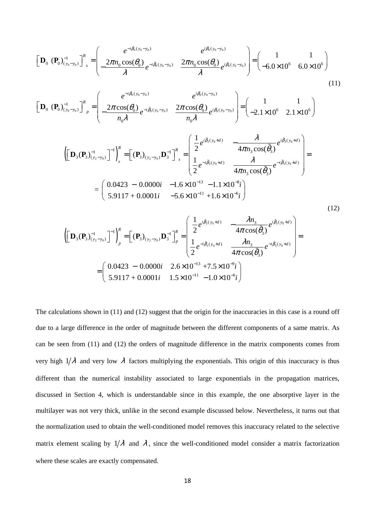$$
\left[\mathbf{D}_{0} \left(\mathbf{P}_{0}\right)_{(y_{0}-y_{0})}^{-1}\right]_{s}^{R} = \begin{pmatrix} e^{-i\beta_{0}(y_{0}-y_{0})} & e^{i\beta_{0}(y_{0}-y_{0})} \\ -\frac{2\pi n_{0}\cos(\theta_{0})}{\lambda}e^{-i\beta_{0}(y_{0}-y_{0})} & \frac{2\pi n_{0}\cos(\theta_{0})}{\lambda}e^{i\beta_{0}(y_{0}-y_{0})}\end{pmatrix} = \begin{pmatrix} 1 & 1 \\ -6.0 \times 10^{6} & 6.0 \times 10^{6} \end{pmatrix}
$$
\n(11)

$$
\left[\mathbf{D}_{0} \left(\mathbf{P}_{0}\right)_{(y_{0}-y_{0})}^{-1}\right]_{p}^{R}=\left(\begin{array}{cc}e^{-i\beta_{0}(y_{0}-y_{0})} & e^{i\beta_{0}(y_{0}-y_{0})} \\ -\frac{2\pi\cos(\theta_{0})}{n_{0}\lambda}e^{-i\tilde{\beta}_{0}(y_{0}-y_{0})} & \frac{2\pi\cos(\theta_{0})}{n_{0}\lambda}e^{i\beta_{0}(y_{0}-y_{0})}\end{array}\right)=\left(\begin{array}{cc}1 & 1 \\ -2.1\times10^{6} & 2.1\times10^{6}\end{array}\right)
$$

$$
\left( \left[ \mathbf{D}_3(\mathbf{P}_3)^{-1}_{(y_2 - y_0)} \right]^{-1} \right)^R_s = \left[ (\mathbf{P}_3)_{(y_2 - y_0)} \mathbf{D}_3^{-1} \right]^R_s = \begin{pmatrix} \frac{1}{2} e^{i\tilde{\beta}_3(y_0 + d)} & -\frac{\lambda}{4\pi n_3 \cos(\tilde{\theta}_3)} e^{i\tilde{\beta}_3(y_0 + d)} \\ \frac{1}{2} e^{-i\tilde{\beta}_3(y_0 + d)} & \frac{\lambda}{4\pi n_3 \cos(\tilde{\theta}_3)} e^{-i\tilde{\beta}_3(y_0 + d)} \end{pmatrix} = \begin{pmatrix} 0.0423 - 0.0000i & -1.6 \times 10^{-13} & -1.1 \times 10^{-8}i \\ 5.9117 + 0.0001i & -5.6 \times 10^{-11} & +1.6 \times 10^{-6}i \end{pmatrix}
$$
\n(12)

$$
\left( \begin{bmatrix} \mathbf{D}_3(\mathbf{P}_3)^{-1}_{(y_2-y_0)} \end{bmatrix}^{-1} \right)^R_p = \begin{bmatrix} (\mathbf{P}_3)_{(y_2-y_0)} \mathbf{D}_3^{-1} \end{bmatrix}^R_p = \begin{bmatrix} \frac{1}{2} e^{i\tilde{\beta}_3(y_0+d)} & -\frac{\lambda n_3}{4\pi \cos(\tilde{\theta}_3)} e^{i\tilde{\beta}_3(y_0+d)} \\ \frac{1}{2} e^{-i\tilde{\beta}_3(y_0+d)} & \frac{\lambda n_3}{4\pi \cos(\tilde{\theta}_3)} e^{-i\tilde{\beta}_3(y_0+d)} \end{bmatrix} = \begin{bmatrix} 0.0423 - 0.0000i & 2.6 \times 10^{-13} + 7.5 \times 10^{-9}i \\ 5.9117 + 0.0001i & 1.5 \times 10^{-11} -1.0 \times 10^{-6}i \end{bmatrix}
$$

The calculations shown in (11) and (12) suggest that the origin for the inaccuracies in this case is a round off due to a large difference in the order of magnitude between the different components of a same matrix. As can be seen from (11) and (12) the orders of magnitude difference in the matrix components comes from very high  $1/\lambda$  and very low  $\lambda$  factors multiplying the exponentials. This origin of this inaccuracy is thus different than the numerical instability associated to large exponentials in the propagation matrices, discussed in Section 4, which is understandable since in this example, the one absorptive layer in the multilayer was not very thick, unlike in the second example discussed below. Nevertheless, it turns out that the normalization used to obtain the well-conditioned model removes this inaccuracy related to the selective matrix element scaling by  $1/\lambda$  and  $\lambda$ , since the well-conditioned model consider a matrix factorization where these scales are exactly compensated.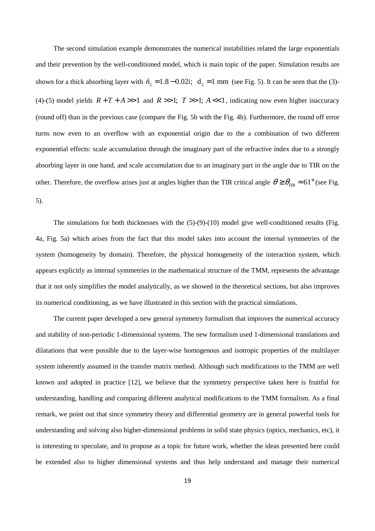The second simulation example demonstrates the numerical instabilities related the large exponentials and their prevention by the well-conditioned model, which is main topic of the paper. Simulation results are shown for a thick absorbing layer with  $\tilde{n}_2 = 1.8 - 0.02i$ ;  $d_2 = 1$  mm (see Fig. 5). It can be seen that the (3)-(4)-(5) model yields  $R + T + A \gg 1$  and  $R \gg 1$ ;  $T \gg 1$ ;  $A \ll 1$ , indicating now even higher inaccuracy (round off) than in the previous case (compare the Fig. 5b with the Fig. 4b). Furthermore, the round off error turns now even to an overflow with an exponential origin due to the a combination of two different exponential effects: scale accumulation through the imaginary part of the refractive index due to a strongly absorbing layer in one hand, and scale accumulation due to an imaginary part in the angle due to TIR on the other. Therefore, the overflow arises just at angles higher than the TIR critical angle  $\theta \ge \theta_{TR} \approx 61^\circ$  (see Fig. 5).

The simulations for both thicknesses with the  $(5)-(9)-(10)$  model give well-conditioned results (Fig. 4a, Fig. 5a) which arises from the fact that this model takes into account the internal symmetries of the system (homogeneity by domain). Therefore, the physical homogeneity of the interaction system, which appears explicitly as internal symmetries in the mathematical structure of the TMM, represents the advantage that it not only simplifies the model analytically, as we showed in the theoretical sections, but also improves its numerical conditioning, as we have illustrated in this section with the practical simulations.

The current paper developed a new general symmetry formalism that improves the numerical accuracy and stability of non-periodic 1-dimensional systems. The new formalism used 1-dimensional translations and dilatations that were possible due to the layer-wise homogenous and isotropic properties of the multilayer system inherently assumed in the transfer matrix method. Although such modifications to the TMM are well known and adopted in practice [12], we believe that the symmetry perspective taken here is fruitful for understanding, handling and comparing different analytical modifications to the TMM formalism. As a final remark, we point out that since symmetry theory and differential geometry are in general powerful tools for understanding and solving also higher-dimensional problems in solid state physics (optics, mechanics, etc), it is interesting to speculate, and to propose as a topic for future work, whether the ideas presented here could be extended also to higher dimensional systems and thus help understand and manage their numerical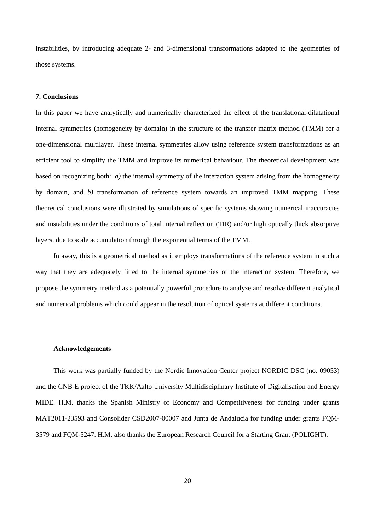instabilities, by introducing adequate 2- and 3-dimensional transformations adapted to the geometries of those systems.

### **7. Conclusions**

In this paper we have analytically and numerically characterized the effect of the translational-dilatational internal symmetries (homogeneity by domain) in the structure of the transfer matrix method (TMM) for a one-dimensional multilayer. These internal symmetries allow using reference system transformations as an efficient tool to simplify the TMM and improve its numerical behaviour. The theoretical development was based on recognizing both: *a)* the internal symmetry of the interaction system arising from the homogeneity by domain, and *b)* transformation of reference system towards an improved TMM mapping. These theoretical conclusions were illustrated by simulations of specific systems showing numerical inaccuracies and instabilities under the conditions of total internal reflection (TIR) and/or high optically thick absorptive layers, due to scale accumulation through the exponential terms of the TMM.

In away, this is a geometrical method as it employs transformations of the reference system in such a way that they are adequately fitted to the internal symmetries of the interaction system. Therefore, we propose the symmetry method as a potentially powerful procedure to analyze and resolve different analytical and numerical problems which could appear in the resolution of optical systems at different conditions.

#### **Acknowledgements**

This work was partially funded by the Nordic Innovation Center project NORDIC DSC (no. 09053) and the CNB-E project of the TKK/Aalto University Multidisciplinary Institute of Digitalisation and Energy MIDE. H.M. thanks the Spanish Ministry of Economy and Competitiveness for funding under grants MAT2011-23593 and Consolider CSD2007-00007 and Junta de Andalucia for funding under grants FQM-3579 and FQM-5247. H.M. also thanks the European Research Council for a Starting Grant (POLIGHT).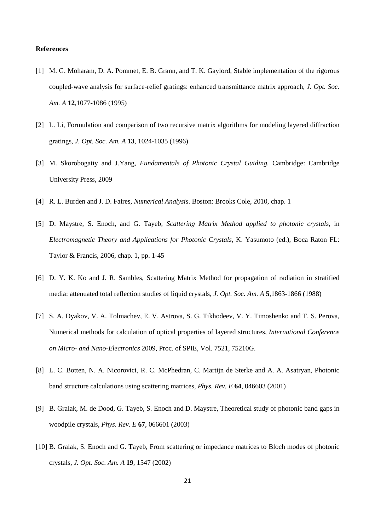#### **References**

- [1] M. G. Moharam, D. A. Pommet, E. B. Grann, and T. K. Gaylord, Stable implementation of the rigorous coupled-wave analysis for surface-relief gratings: enhanced transmittance matrix approach, *J. Opt. Soc. Am. A* **12**,1077-1086 (1995)
- [2] L. Li, Formulation and comparison of two recursive matrix algorithms for modeling layered diffraction gratings, *J. Opt. Soc. Am. A* **13**, 1024-1035 (1996)
- [3] M. Skorobogatiy and J.Yang, *Fundamentals of Photonic Crystal Guiding.* Cambridge: Cambridge University Press, 2009
- [4] R. L. Burden and J. D. Faires, *Numerical Analysis*. Boston: Brooks Cole, 2010, chap. 1
- [5] D. Maystre, S. Enoch, and G. Tayeb, *Scattering Matrix Method applied to photonic crystals*, in *Electromagnetic Theory and Applications for Photonic Crystals,* K. Yasumoto (ed.), Boca Raton FL: Taylor & Francis, 2006, chap. 1, pp. 1-45
- [6] D. Y. K. Ko and J. R. Sambles, Scattering Matrix Method for propagation of radiation in stratified media: attenuated total reflection studies of liquid crystals, *J. Opt. Soc. Am. A* **5**,1863-1866 (1988)
- [7] S. A. Dyakov, V. A. Tolmachev, E. V. Astrova, S. G. Tikhodeev, V. Y. Timoshenko and T. S. Perova, Numerical methods for calculation of optical properties of layered structures, *International Conference on Micro- and Nano-Electronics* 2009, Proc. of SPIE, Vol. 7521, 75210G.
- [8] L. C. Botten, N. A. Nicorovici, R. C. McPhedran, C. Martijn de Sterke and A. A. Asatryan, Photonic band structure calculations using scattering matrices, *Phys. Rev. E* **64**, 046603 (2001)
- [9] B. Gralak, M. de Dood, G. Tayeb, S. Enoch and D. Maystre, Theoretical study of photonic band gaps in woodpile crystals, *Phys. Rev. E* **67**, 066601 (2003)
- [10] B. Gralak, S. Enoch and G. Tayeb, From scattering or impedance matrices to Bloch modes of photonic crystals, *J. Opt. Soc. Am. A* **19**, 1547 (2002)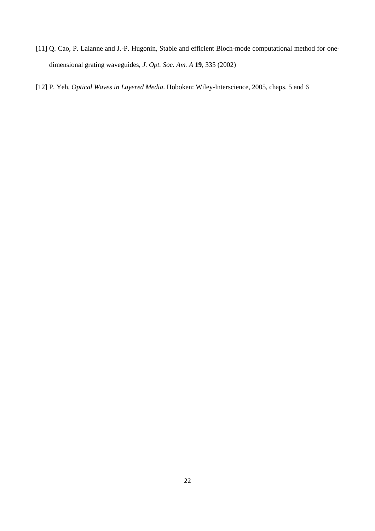- [11] Q. Cao, P. Lalanne and J.-P. Hugonin, Stable and efficient Bloch-mode computational method for onedimensional grating waveguides, *J. Opt. Soc. Am. A* **19**, 335 (2002)
- [12] P. Yeh, *Optical Waves in Layered Media*. Hoboken: Wiley-Interscience, 2005, chaps. 5 and 6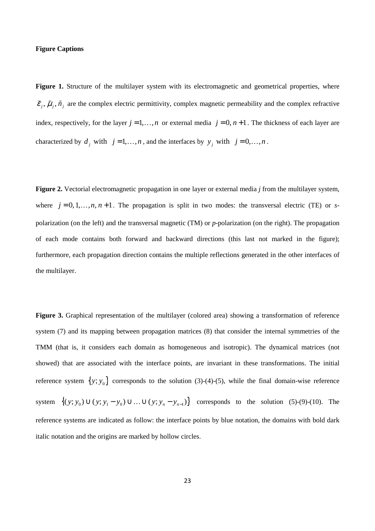#### **Figure Captions**

Figure 1. Structure of the multilayer system with its electromagnetic and geometrical properties, where  $\tilde{\varepsilon}_i$ ,  $\tilde{\mu}_i$ ,  $\tilde{n}_j$  are the complex electric permittivity, complex magnetic permeability and the complex refractive index, respectively, for the layer  $j = 1, ..., n$  or external media  $j = 0, n + 1$ . The thickness of each layer are characterized by  $d_j$  with  $j = 1, ..., n$ , and the interfaces by  $y_j$  with  $j = 0, ..., n$ .

**Figure 2.** Vectorial electromagnetic propagation in one layer or external media *j* from the multilayer system, where  $j = 0, 1, \ldots, n, n + 1$ . The propagation is split in two modes: the transversal electric (TE) or *s*polarization (on the left) and the transversal magnetic (TM) or *p*-polarization (on the right). The propagation of each mode contains both forward and backward directions (this last not marked in the figure); furthermore, each propagation direction contains the multiple reflections generated in the other interfaces of the multilayer.

**Figure 3.** Graphical representation of the multilayer (colored area) showing a transformation of reference system (7) and its mapping between propagation matrices (8) that consider the internal symmetries of the TMM (that is, it considers each domain as homogeneous and isotropic). The dynamical matrices (not showed) that are associated with the interface points, are invariant in these transformations. The initial reference system  $\{y; y_0\}$  corresponds to the solution (3)-(4)-(5), while the final domain-wise reference system  $\{(y; y_0) \cup (y; y_1 - y_0) \cup ... \cup (y; y_n - y_{n-1})\}$  corresponds to the solution (5)-(9)-(10). The reference systems are indicated as follow: the interface points by blue notation, the domains with bold dark italic notation and the origins are marked by hollow circles.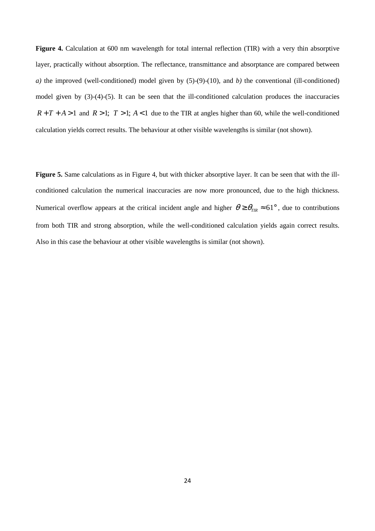Figure 4. Calculation at 600 nm wavelength for total internal reflection (TIR) with a very thin absorptive layer, practically without absorption. The reflectance, transmittance and absorptance are compared between *a)* the improved (well-conditioned) model given by (5)-(9)-(10), and *b)* the conventional (ill-conditioned) model given by (3)-(4)-(5). It can be seen that the ill-conditioned calculation produces the inaccuracies  $R + T + A > 1$  and  $R > 1$ ;  $T > 1$ ;  $A < 1$  due to the TIR at angles higher than 60, while the well-conditioned calculation yields correct results. The behaviour at other visible wavelengths is similar (not shown).

**Figure 5.** Same calculations as in Figure 4, but with thicker absorptive layer. It can be seen that with the illconditioned calculation the numerical inaccuracies are now more pronounced, due to the high thickness. Numerical overflow appears at the critical incident angle and higher  $\theta \ge \theta_{TR} \approx 61^\circ$ , due to contributions from both TIR and strong absorption, while the well-conditioned calculation yields again correct results. Also in this case the behaviour at other visible wavelengths is similar (not shown).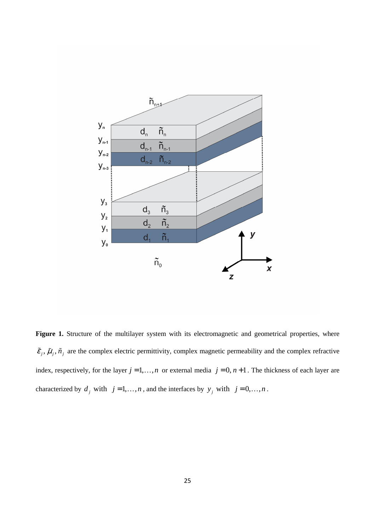

Figure 1. Structure of the multilayer system with its electromagnetic and geometrical properties, where  $\tilde{\varepsilon}_j$ ,  $\tilde{\mu}_j$ ,  $\tilde{n}_j$  are the complex electric permittivity, complex magnetic permeability and the complex refractive index, respectively, for the layer  $j = 1, ..., n$  or external media  $j = 0, n + 1$ . The thickness of each layer are characterized by  $d_j$  with  $j = 1, ..., n$ , and the interfaces by  $y_j$  with  $j = 0, ..., n$ .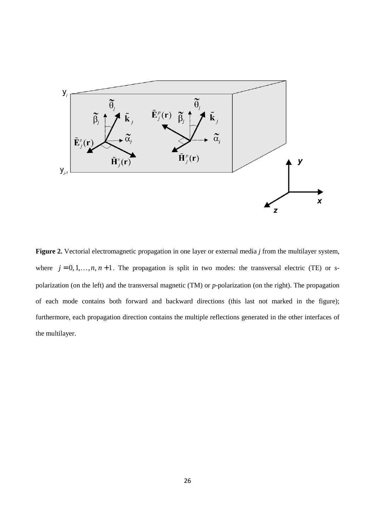

**Figure 2.** Vectorial electromagnetic propagation in one layer or external media *j* from the multilayer system, where  $j = 0, 1, \ldots, n, n + 1$ . The propagation is split in two modes: the transversal electric (TE) or *s*polarization (on the left) and the transversal magnetic (TM) or *p*-polarization (on the right). The propagation of each mode contains both forward and backward directions (this last not marked in the figure); furthermore, each propagation direction contains the multiple reflections generated in the other interfaces of the multilayer.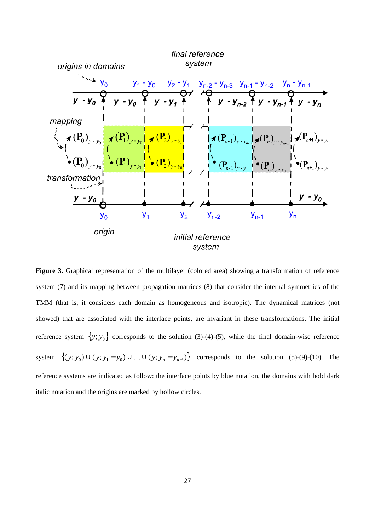

**Figure 3.** Graphical representation of the multilayer (colored area) showing a transformation of reference system (7) and its mapping between propagation matrices (8) that consider the internal symmetries of the TMM (that is, it considers each domain as homogeneous and isotropic). The dynamical matrices (not showed) that are associated with the interface points, are invariant in these transformations. The initial reference system  $\{y; y_0\}$  corresponds to the solution (3)-(4)-(5), while the final domain-wise reference system  $\{(y; y_0) \cup (y; y_1 - y_0) \cup ... \cup (y; y_n - y_{n-1})\}$  corresponds to the solution (5)-(9)-(10). The reference systems are indicated as follow: the interface points by blue notation, the domains with bold dark italic notation and the origins are marked by hollow circles.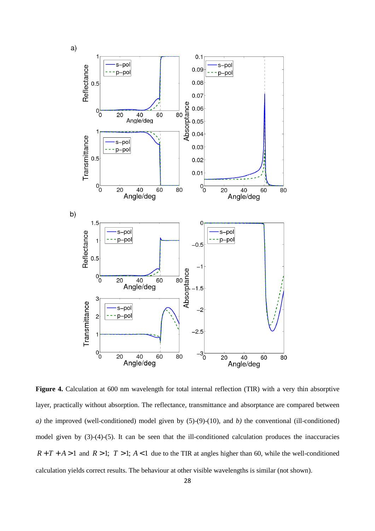

Figure 4. Calculation at 600 nm wavelength for total internal reflection (TIR) with a very thin absorptive layer, practically without absorption. The reflectance, transmittance and absorptance are compared between *a)* the improved (well-conditioned) model given by (5)-(9)-(10), and *b)* the conventional (ill-conditioned) model given by (3)-(4)-(5). It can be seen that the ill-conditioned calculation produces the inaccuracies  $R + T + A > 1$  and  $R > 1$ ;  $T > 1$ ;  $A < 1$  due to the TIR at angles higher than 60, while the well-conditioned calculation yields correct results. The behaviour at other visible wavelengths is similar (not shown).